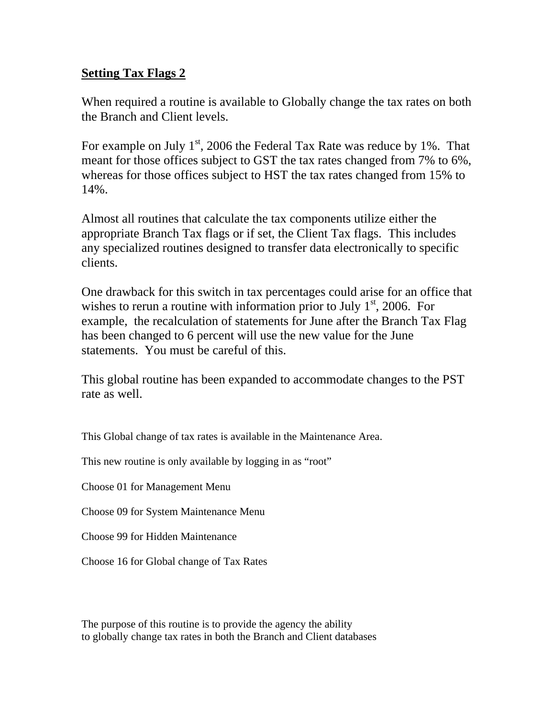# **Setting Tax Flags 2**

When required a routine is available to Globally change the tax rates on both the Branch and Client levels.

For example on July  $1<sup>st</sup>$ , 2006 the Federal Tax Rate was reduce by 1%. That meant for those offices subject to GST the tax rates changed from 7% to 6%, whereas for those offices subject to HST the tax rates changed from 15% to 14%.

Almost all routines that calculate the tax components utilize either the appropriate Branch Tax flags or if set, the Client Tax flags. This includes any specialized routines designed to transfer data electronically to specific clients.

One drawback for this switch in tax percentages could arise for an office that wishes to rerun a routine with information prior to July  $1<sup>st</sup>$ , 2006. For example, the recalculation of statements for June after the Branch Tax Flag has been changed to 6 percent will use the new value for the June statements. You must be careful of this.

This global routine has been expanded to accommodate changes to the PST rate as well.

This Global change of tax rates is available in the Maintenance Area.

This new routine is only available by logging in as "root"

Choose 01 for Management Menu

Choose 09 for System Maintenance Menu

Choose 99 for Hidden Maintenance

Choose 16 for Global change of Tax Rates

The purpose of this routine is to provide the agency the ability to globally change tax rates in both the Branch and Client databases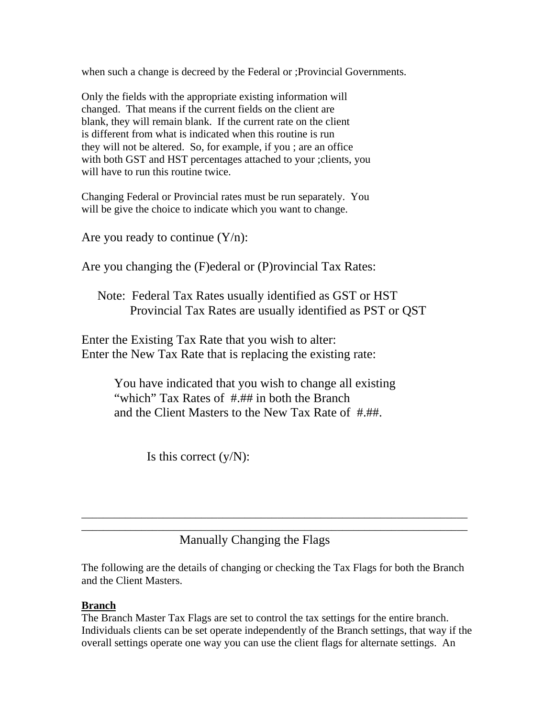when such a change is decreed by the Federal or ;Provincial Governments.

Only the fields with the appropriate existing information will changed. That means if the current fields on the client are blank, they will remain blank. If the current rate on the client is different from what is indicated when this routine is run they will not be altered. So, for example, if you ; are an office with both GST and HST percentages attached to your ;clients, you will have to run this routine twice.

Changing Federal or Provincial rates must be run separately. You will be give the choice to indicate which you want to change.

Are you ready to continue  $(Y/n)$ :

Are you changing the (F)ederal or (P)rovincial Tax Rates:

 Note: Federal Tax Rates usually identified as GST or HST Provincial Tax Rates are usually identified as PST or QST

Enter the Existing Tax Rate that you wish to alter: Enter the New Tax Rate that is replacing the existing rate:

> You have indicated that you wish to change all existing "which" Tax Rates of #.## in both the Branch and the Client Masters to the New Tax Rate of #.##.

> > Is this correct  $(y/N)$ :

Manually Changing the Flags

The following are the details of changing or checking the Tax Flags for both the Branch and the Client Masters.

\_\_\_\_\_\_\_\_\_\_\_\_\_\_\_\_\_\_\_\_\_\_\_\_\_\_\_\_\_\_\_\_\_\_\_\_\_\_\_\_\_\_\_\_\_\_\_\_\_\_\_\_\_\_\_\_\_\_\_\_\_\_\_\_\_\_\_\_\_\_\_ \_\_\_\_\_\_\_\_\_\_\_\_\_\_\_\_\_\_\_\_\_\_\_\_\_\_\_\_\_\_\_\_\_\_\_\_\_\_\_\_\_\_\_\_\_\_\_\_\_\_\_\_\_\_\_\_\_\_\_\_\_\_\_\_\_\_\_\_\_\_\_

## **Branch**

The Branch Master Tax Flags are set to control the tax settings for the entire branch. Individuals clients can be set operate independently of the Branch settings, that way if the overall settings operate one way you can use the client flags for alternate settings. An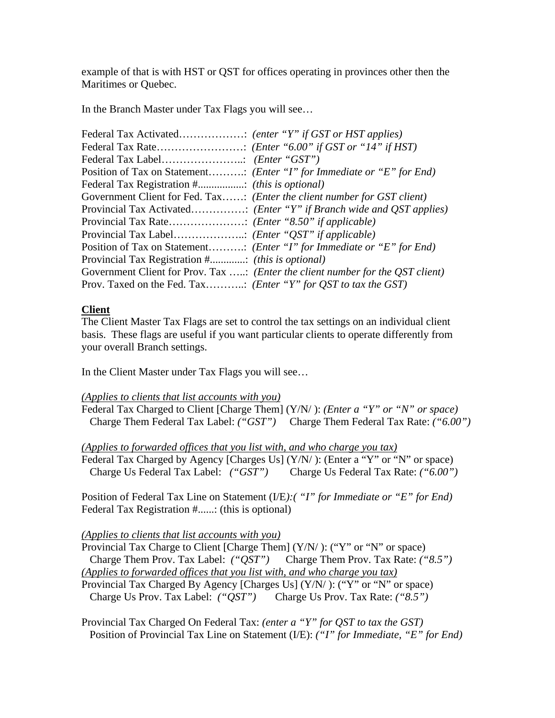example of that is with HST or QST for offices operating in provinces other then the Maritimes or Quebec.

In the Branch Master under Tax Flags you will see…

| Position of Tax on Statement ( <i>Enter "I" for Immediate or "E" for End</i> )          |
|-----------------------------------------------------------------------------------------|
|                                                                                         |
| Government Client for Fed. Tax: (Enter the client number for GST client)                |
|                                                                                         |
|                                                                                         |
|                                                                                         |
| Position of Tax on Statement ( <i>Enter "I" for Immediate or "E" for End</i> )          |
| Provincial Tax Registration # (this is optional)                                        |
| Government Client for Prov. Tax : ( <i>Enter the client number for the QST client</i> ) |
| Prov. Taxed on the Fed. Tax ( <i>Enter</i> "Y" for <i>QST</i> to tax the <i>GST</i> )   |

## **Client**

The Client Master Tax Flags are set to control the tax settings on an individual client basis. These flags are useful if you want particular clients to operate differently from your overall Branch settings.

In the Client Master under Tax Flags you will see…

### *(Applies to clients that list accounts with you)*

Federal Tax Charged to Client [Charge Them] (Y/N/ ): *(Enter a "Y" or "N" or space)* Charge Them Federal Tax Label: *("GST")* Charge Them Federal Tax Rate: *("6.00")*

*(Applies to forwarded offices that you list with, and who charge you tax)*

Federal Tax Charged by Agency [Charges Us] (Y/N/): (Enter a "Y" or "N" or space) Charge Us Federal Tax Label: *("GST")* Charge Us Federal Tax Rate: *("6.00")*

Position of Federal Tax Line on Statement (I/E*):( "I" for Immediate or "E" for End)* Federal Tax Registration #......: (this is optional)

### *(Applies to clients that list accounts with you)*

Provincial Tax Charge to Client [Charge Them]  $(Y/N')$ : ("Y" or "N" or space) Charge Them Prov. Tax Label: *("QST")* Charge Them Prov. Tax Rate: *("8.5") (Applies to forwarded offices that you list with, and who charge you tax)*

Provincial Tax Charged By Agency [Charges Us] (Y/N/ ): ("Y" or "N" or space) Charge Us Prov. Tax Label: *("QST")* Charge Us Prov. Tax Rate: *("8.5")* 

Provincial Tax Charged On Federal Tax: *(enter a "Y" for QST to tax the GST)*  Position of Provincial Tax Line on Statement (I/E): *("I" for Immediate, "E" for End)*